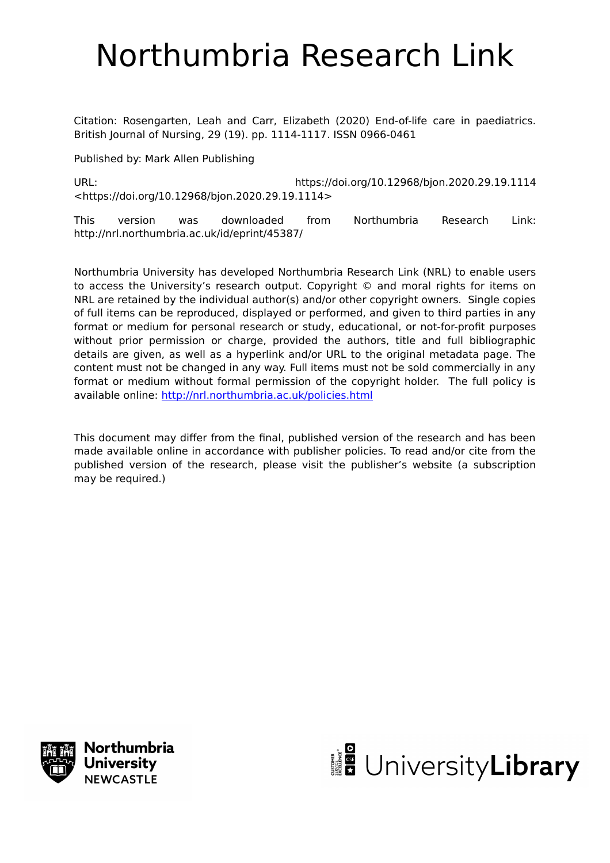# Northumbria Research Link

Citation: Rosengarten, Leah and Carr, Elizabeth (2020) End-of-life care in paediatrics. British Journal of Nursing, 29 (19). pp. 1114-1117. ISSN 0966-0461

Published by: Mark Allen Publishing

URL: https://doi.org/10.12968/bjon.2020.29.19.1114 <https://doi.org/10.12968/bjon.2020.29.19.1114>

This version was downloaded from Northumbria Research Link: http://nrl.northumbria.ac.uk/id/eprint/45387/

Northumbria University has developed Northumbria Research Link (NRL) to enable users to access the University's research output. Copyright © and moral rights for items on NRL are retained by the individual author(s) and/or other copyright owners. Single copies of full items can be reproduced, displayed or performed, and given to third parties in any format or medium for personal research or study, educational, or not-for-profit purposes without prior permission or charge, provided the authors, title and full bibliographic details are given, as well as a hyperlink and/or URL to the original metadata page. The content must not be changed in any way. Full items must not be sold commercially in any format or medium without formal permission of the copyright holder. The full policy is available online:<http://nrl.northumbria.ac.uk/policies.html>

This document may differ from the final, published version of the research and has been made available online in accordance with publisher policies. To read and/or cite from the published version of the research, please visit the publisher's website (a subscription may be required.)



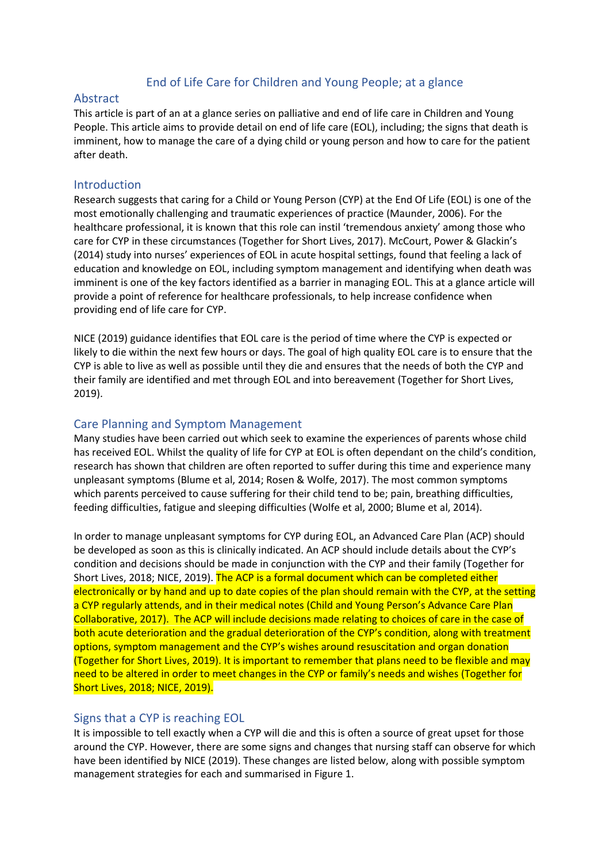# End of Life Care for Children and Young People; at a glance

#### Abstract

This article is part of an at a glance series on palliative and end of life care in Children and Young People. This article aims to provide detail on end of life care (EOL), including; the signs that death is imminent, how to manage the care of a dying child or young person and how to care for the patient after death.

#### Introduction

Research suggests that caring for a Child or Young Person (CYP) at the End Of Life (EOL) is one of the most emotionally challenging and traumatic experiences of practice (Maunder, 2006). For the healthcare professional, it is known that this role can instil 'tremendous anxiety' among those who care for CYP in these circumstances (Together for Short Lives, 2017). McCourt, Power & Glackin's (2014) study into nurses' experiences of EOL in acute hospital settings, found that feeling a lack of education and knowledge on EOL, including symptom management and identifying when death was imminent is one of the key factors identified as a barrier in managing EOL. This at a glance article will provide a point of reference for healthcare professionals, to help increase confidence when providing end of life care for CYP.

NICE (2019) guidance identifies that EOL care is the period of time where the CYP is expected or likely to die within the next few hours or days. The goal of high quality EOL care is to ensure that the CYP is able to live as well as possible until they die and ensures that the needs of both the CYP and their family are identified and met through EOL and into bereavement (Together for Short Lives, 2019).

# Care Planning and Symptom Management

Many studies have been carried out which seek to examine the experiences of parents whose child has received EOL. Whilst the quality of life for CYP at EOL is often dependant on the child's condition, research has shown that children are often reported to suffer during this time and experience many unpleasant symptoms (Blume et al, 2014; Rosen & Wolfe, 2017). The most common symptoms which parents perceived to cause suffering for their child tend to be; pain, breathing difficulties, feeding difficulties, fatigue and sleeping difficulties (Wolfe et al, 2000; Blume et al, 2014).

In order to manage unpleasant symptoms for CYP during EOL, an Advanced Care Plan (ACP) should be developed as soon as this is clinically indicated. An ACP should include details about the CYP's condition and decisions should be made in conjunction with the CYP and their family (Together for Short Lives, 2018; NICE, 2019). The ACP is a formal document which can be completed either electronically or by hand and up to date copies of the plan should remain with the CYP, at the setting a CYP regularly attends, and in their medical notes (Child and Young Person's Advance Care Plan Collaborative, 2017). The ACP will include decisions made relating to choices of care in the case of both acute deterioration and the gradual deterioration of the CYP's condition, along with treatment options, symptom management and the CYP's wishes around resuscitation and organ donation (Together for Short Lives, 2019). It is important to remember that plans need to be flexible and may need to be altered in order to meet changes in the CYP or family's needs and wishes (Together for Short Lives, 2018; NICE, 2019).

# Signs that a CYP is reaching EOL

It is impossible to tell exactly when a CYP will die and this is often a source of great upset for those around the CYP. However, there are some signs and changes that nursing staff can observe for which have been identified by NICE (2019). These changes are listed below, along with possible symptom management strategies for each and summarised in Figure 1.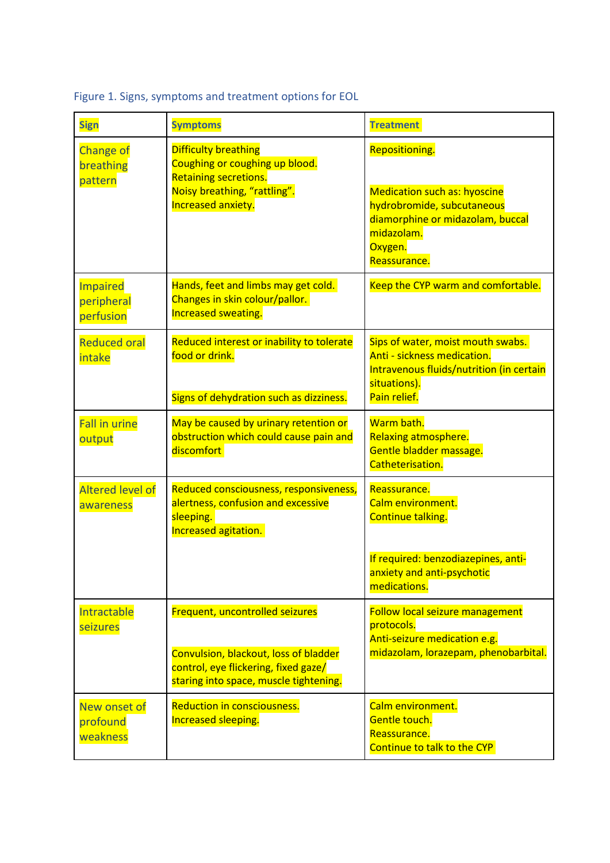| <b>Sign</b>                                | <b>Symptoms</b>                                                                                                                                            | <b>Treatment</b>                                                                                                                                                 |
|--------------------------------------------|------------------------------------------------------------------------------------------------------------------------------------------------------------|------------------------------------------------------------------------------------------------------------------------------------------------------------------|
| <b>Change of</b><br>breathing<br>pattern   | <b>Difficulty breathing</b><br>Coughing or coughing up blood.<br><b>Retaining secretions.</b><br>Noisy breathing, "rattling".<br>Increased anxiety.        | Repositioning.<br><b>Medication such as: hyoscine</b><br>hydrobromide, subcutaneous<br>diamorphine or midazolam, buccal<br>midazolam.<br>Oxygen.<br>Reassurance. |
| <b>Impaired</b><br>peripheral<br>perfusion | Hands, feet and limbs may get cold.<br>Changes in skin colour/pallor.<br>Increased sweating.                                                               | Keep the CYP warm and comfortable.                                                                                                                               |
| <b>Reduced oral</b><br>intake              | Reduced interest or inability to tolerate<br>food or drink.<br>Signs of dehydration such as dizziness.                                                     | Sips of water, moist mouth swabs.<br>Anti - sickness medication.<br>Intravenous fluids/nutrition (in certain<br>situations).<br>Pain relief.                     |
| <b>Fall in urine</b><br>output             | May be caused by urinary retention or<br>obstruction which could cause pain and<br>discomfort                                                              | Warm bath.<br><b>Relaxing atmosphere.</b><br>Gentle bladder massage.<br>Catheterisation.                                                                         |
| <b>Altered level of</b><br>awareness       | Reduced consciousness, responsiveness,<br>alertness, confusion and excessive<br>sleeping.<br>Increased agitation.                                          | Reassurance.<br>Calm environment.<br>Continue talking.<br>If required: benzodiazepines, anti-                                                                    |
|                                            |                                                                                                                                                            | anxiety and anti-psychotic<br>medications.                                                                                                                       |
| Intractable<br>seizures                    | Frequent, uncontrolled seizures<br>Convulsion, blackout, loss of bladder<br>control, eye flickering, fixed gaze/<br>staring into space, muscle tightening. | <b>Follow local seizure management</b><br>protocols.<br>Anti-seizure medication e.g.<br>midazolam, lorazepam, phenobarbital.                                     |
| New onset of<br>profound<br>weakness       | <b>Reduction in consciousness.</b><br>Increased sleeping.                                                                                                  | Calm environment.<br>Gentle touch.<br>Reassurance.<br>Continue to talk to the CYP                                                                                |

Figure 1. Signs, symptoms and treatment options for EOL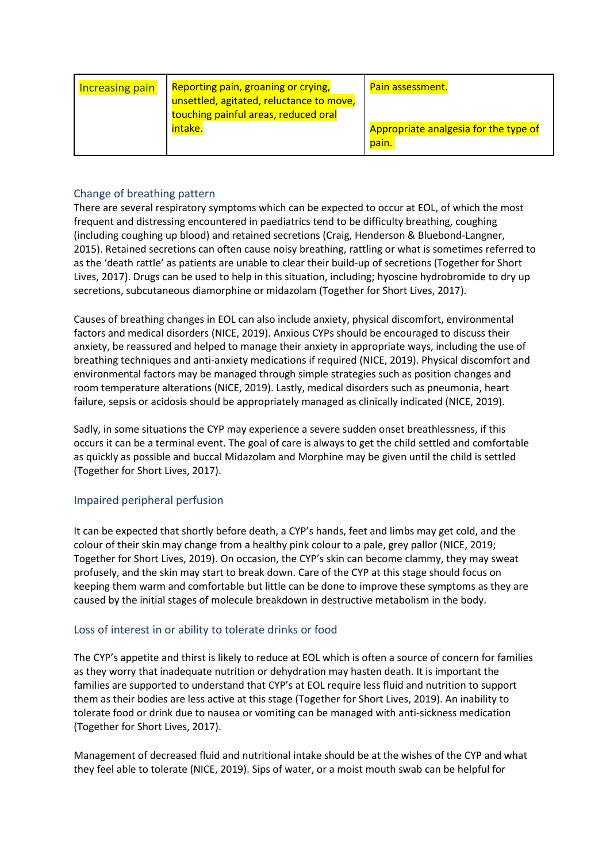| <b>Increasing pain</b> | Reporting pain, groaning or crying,<br>unsettled, agitated, reluctance to move,<br>touching painful areas, reduced oral | Pain assessment.                               |
|------------------------|-------------------------------------------------------------------------------------------------------------------------|------------------------------------------------|
|                        | intake.                                                                                                                 | Appropriate analgesia for the type of<br>pain. |

# Change of breathing pattern

There are several respiratory symptoms which can be expected to occur at EOL, of which the most frequent and distressing encountered in paediatrics tend to be difficulty breathing, coughing (including coughing up blood) and retained secretions (Craig, Henderson & Bluebond-Langner, 2015). Retained secretions can often cause noisy breathing, rattling or what is sometimes referred to as the 'death rattle' as patients are unable to clear their build-up of secretions (Together for Short Lives, 2017). Drugs can be used to help in this situation, including; hyoscine hydrobromide to dry up secretions, subcutaneous diamorphine or midazolam (Together for Short Lives, 2017).

Causes of breathing changes in EOL can also include anxiety, physical discomfort, environmental factors and medical disorders (NICE, 2019). Anxious CYPs should be encouraged to discuss their anxiety, be reassured and helped to manage their anxiety in appropriate ways, including the use of breathing techniques and anti-anxiety medications if required (NICE, 2019). Physical discomfort and environmental factors may be managed through simple strategies such as position changes and room temperature alterations (NICE, 2019). Lastly, medical disorders such as pneumonia, heart failure, sepsis or acidosis should be appropriately managed as clinically indicated (NICE, 2019).

Sadly, in some situations the CYP may experience a severe sudden onset breathlessness, if this occurs it can be a terminal event. The goal of care is always to get the child settled and comfortable as quickly as possible and buccal Midazolam and Morphine may be given until the child is settled (Together for Short Lives, 2017).

# Impaired peripheral perfusion

It can be expected that shortly before death, a CYP's hands, feet and limbs may get cold, and the colour of their skin may change from a healthy pink colour to a pale, grey pallor (NICE, 2019; Together for Short Lives, 2019). On occasion, the CYP's skin can become clammy, they may sweat profusely, and the skin may start to break down. Care of the CYP at this stage should focus on keeping them warm and comfortable but little can be done to improve these symptoms as they are caused by the initial stages of molecule breakdown in destructive metabolism in the body.

# Loss of interest in or ability to tolerate drinks or food

The CYP's appetite and thirst is likely to reduce at EOL which is often a source of concern for families as they worry that inadequate nutrition or dehydration may hasten death. It is important the families are supported to understand that CYP's at EOL require less fluid and nutrition to support them as their bodies are less active at this stage (Together for Short Lives, 2019). An inability to tolerate food or drink due to nausea or vomiting can be managed with anti-sickness medication (Together for Short Lives, 2017).

Management of decreased fluid and nutritional intake should be at the wishes of the CYP and what they feel able to tolerate (NICE, 2019). Sips of water, or a moist mouth swab can be helpful for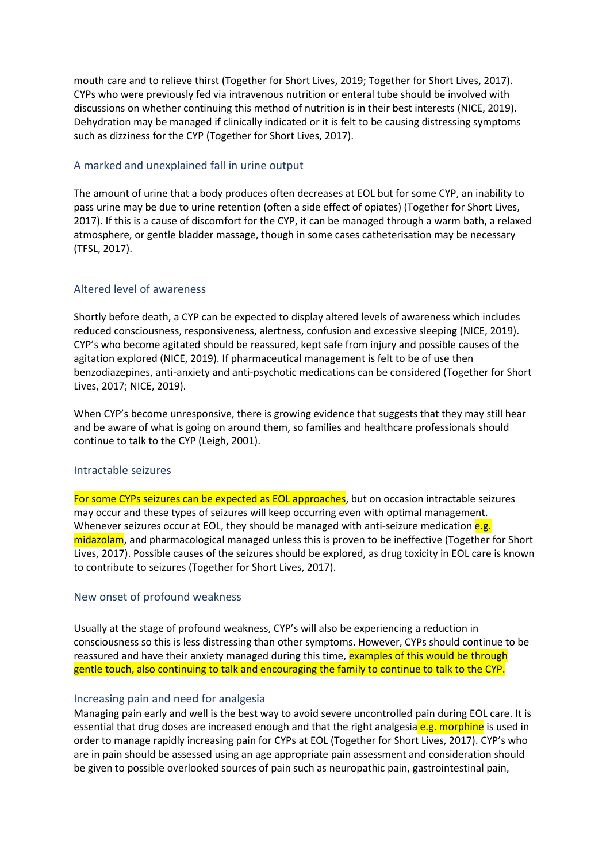mouth care and to relieve thirst (Together for Short Lives, 2019; Together for Short Lives, 2017). CYPs who were previously fed via intravenous nutrition or enteral tube should be involved with discussions on whether continuing this method of nutrition is in their best interests (NICE, 2019). Dehydration may be managed if clinically indicated or it is felt to be causing distressing symptoms such as dizziness for the CYP (Together for Short Lives, 2017).

# A marked and unexplained fall in urine output

The amount of urine that a body produces often decreases at EOL but for some CYP, an inability to pass urine may be due to urine retention (often a side effect of opiates) (Together for Short Lives, 2017). If this is a cause of discomfort for the CYP, it can be managed through a warm bath, a relaxed atmosphere, or gentle bladder massage, though in some cases catheterisation may be necessary (TFSL, 2017).

#### Altered level of awareness

Shortly before death, a CYP can be expected to display altered levels of awareness which includes reduced consciousness, responsiveness, alertness, confusion and excessive sleeping (NICE, 2019). CYP's who become agitated should be reassured, kept safe from injury and possible causes of the agitation explored (NICE, 2019). If pharmaceutical management is felt to be of use then benzodiazepines, anti-anxiety and anti-psychotic medications can be considered (Together for Short Lives, 2017; NICE, 2019).

When CYP's become unresponsive, there is growing evidence that suggests that they may still hear and be aware of what is going on around them, so families and healthcare professionals should continue to talk to the CYP (Leigh, 2001).

#### Intractable seizures

For some CYPs seizures can be expected as EOL approaches, but on occasion intractable seizures may occur and these types of seizures will keep occurring even with optimal management. Whenever seizures occur at EOL, they should be managed with anti-seizure medication  $e.g.$ midazolam, and pharmacological managed unless this is proven to be ineffective (Together for Short Lives, 2017). Possible causes of the seizures should be explored, as drug toxicity in EOL care is known to contribute to seizures (Together for Short Lives, 2017).

#### New onset of profound weakness

Usually at the stage of profound weakness, CYP's will also be experiencing a reduction in consciousness so this is less distressing than other symptoms. However, CYPs should continue to be reassured and have their anxiety managed during this time, examples of this would be through gentle touch, also continuing to talk and encouraging the family to continue to talk to the CYP.

#### Increasing pain and need for analgesia

Managing pain early and well is the best way to avoid severe uncontrolled pain during EOL care. It is essential that drug doses are increased enough and that the right analgesia **e.g. morphine** is used in order to manage rapidly increasing pain for CYPs at EOL (Together for Short Lives, 2017). CYP's who are in pain should be assessed using an age appropriate pain assessment and consideration should be given to possible overlooked sources of pain such as neuropathic pain, gastrointestinal pain,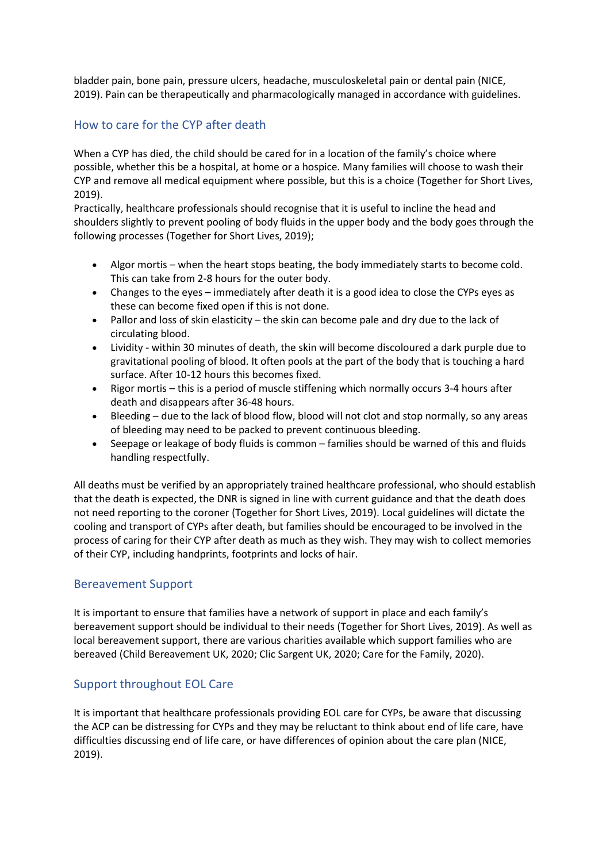bladder pain, bone pain, pressure ulcers, headache, musculoskeletal pain or dental pain (NICE, 2019). Pain can be therapeutically and pharmacologically managed in accordance with guidelines.

# How to care for the CYP after death

When a CYP has died, the child should be cared for in a location of the family's choice where possible, whether this be a hospital, at home or a hospice. Many families will choose to wash their CYP and remove all medical equipment where possible, but this is a choice (Together for Short Lives, 2019).

Practically, healthcare professionals should recognise that it is useful to incline the head and shoulders slightly to prevent pooling of body fluids in the upper body and the body goes through the following processes (Together for Short Lives, 2019);

- Algor mortis when the heart stops beating, the body immediately starts to become cold. This can take from 2-8 hours for the outer body.
- Changes to the eyes immediately after death it is a good idea to close the CYPs eyes as these can become fixed open if this is not done.
- Pallor and loss of skin elasticity the skin can become pale and dry due to the lack of circulating blood.
- Lividity within 30 minutes of death, the skin will become discoloured a dark purple due to gravitational pooling of blood. It often pools at the part of the body that is touching a hard surface. After 10-12 hours this becomes fixed.
- Rigor mortis this is a period of muscle stiffening which normally occurs 3-4 hours after death and disappears after 36-48 hours.
- Bleeding due to the lack of blood flow, blood will not clot and stop normally, so any areas of bleeding may need to be packed to prevent continuous bleeding.
- Seepage or leakage of body fluids is common families should be warned of this and fluids handling respectfully.

All deaths must be verified by an appropriately trained healthcare professional, who should establish that the death is expected, the DNR is signed in line with current guidance and that the death does not need reporting to the coroner (Together for Short Lives, 2019). Local guidelines will dictate the cooling and transport of CYPs after death, but families should be encouraged to be involved in the process of caring for their CYP after death as much as they wish. They may wish to collect memories of their CYP, including handprints, footprints and locks of hair.

# Bereavement Support

It is important to ensure that families have a network of support in place and each family's bereavement support should be individual to their needs (Together for Short Lives, 2019). As well as local bereavement support, there are various charities available which support families who are bereaved (Child Bereavement UK, 2020; Clic Sargent UK, 2020; Care for the Family, 2020).

# Support throughout EOL Care

It is important that healthcare professionals providing EOL care for CYPs, be aware that discussing the ACP can be distressing for CYPs and they may be reluctant to think about end of life care, have difficulties discussing end of life care, or have differences of opinion about the care plan (NICE, 2019).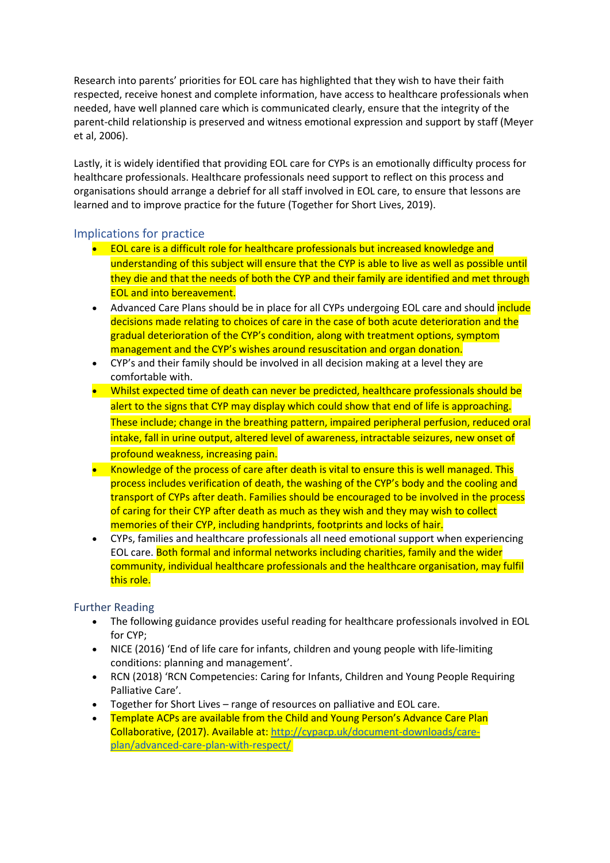Research into parents' priorities for EOL care has highlighted that they wish to have their faith respected, receive honest and complete information, have access to healthcare professionals when needed, have well planned care which is communicated clearly, ensure that the integrity of the parent-child relationship is preserved and witness emotional expression and support by staff (Meyer et al, 2006).

Lastly, it is widely identified that providing EOL care for CYPs is an emotionally difficulty process for healthcare professionals. Healthcare professionals need support to reflect on this process and organisations should arrange a debrief for all staff involved in EOL care, to ensure that lessons are learned and to improve practice for the future (Together for Short Lives, 2019).

# Implications for practice

- EOL care is a difficult role for healthcare professionals but increased knowledge and understanding of this subject will ensure that the CYP is able to live as well as possible until they die and that the needs of both the CYP and their family are identified and met through EOL and into bereavement.
- Advanced Care Plans should be in place for all CYPs undergoing EOL care and should include decisions made relating to choices of care in the case of both acute deterioration and the gradual deterioration of the CYP's condition, along with treatment options, symptom management and the CYP's wishes around resuscitation and organ donation.
- CYP's and their family should be involved in all decision making at a level they are comfortable with.
- Whilst expected time of death can never be predicted, healthcare professionals should be alert to the signs that CYP may display which could show that end of life is approaching. These include; change in the breathing pattern, impaired peripheral perfusion, reduced oral intake, fall in urine output, altered level of awareness, intractable seizures, new onset of profound weakness, increasing pain.
- Knowledge of the process of care after death is vital to ensure this is well managed. This process includes verification of death, the washing of the CYP's body and the cooling and transport of CYPs after death. Families should be encouraged to be involved in the process of caring for their CYP after death as much as they wish and they may wish to collect memories of their CYP, including handprints, footprints and locks of hair.
- CYPs, families and healthcare professionals all need emotional support when experiencing EOL care. Both formal and informal networks including charities, family and the wider community, individual healthcare professionals and the healthcare organisation, may fulfil this role.

# Further Reading

- The following guidance provides useful reading for healthcare professionals involved in EOL for CYP;
- NICE (2016) 'End of life care for infants, children and young people with life-limiting conditions: planning and management'.
- RCN (2018) 'RCN Competencies: Caring for Infants, Children and Young People Requiring Palliative Care'.
- Together for Short Lives range of resources on palliative and EOL care.
- Template ACPs are available from the Child and Young Person's Advance Care Plan Collaborative, (2017). Available at: [http://cypacp.uk/document-downloads/care](https://eur02.safelinks.protection.outlook.com/?url=http%3A%2F%2Fcypacp.uk%2Fdocument-downloads%2Fcare-plan%2Fadvanced-care-plan-with-respect%2F&data=02%7C01%7C%7Ce248523af3c14c7e3f8308d81acf8d96%7C84df9e7fe9f640afb435aaaaaaaaaaaa%7C1%7C0%7C637288826018824187&sdata=T6ycfRv9lnxBjjnpsZPMDO1SIARDI%2Fj13%2B4OOWJuAk0%3D&reserved=0)[plan/advanced-care-plan-with-respect/](https://eur02.safelinks.protection.outlook.com/?url=http%3A%2F%2Fcypacp.uk%2Fdocument-downloads%2Fcare-plan%2Fadvanced-care-plan-with-respect%2F&data=02%7C01%7C%7Ce248523af3c14c7e3f8308d81acf8d96%7C84df9e7fe9f640afb435aaaaaaaaaaaa%7C1%7C0%7C637288826018824187&sdata=T6ycfRv9lnxBjjnpsZPMDO1SIARDI%2Fj13%2B4OOWJuAk0%3D&reserved=0)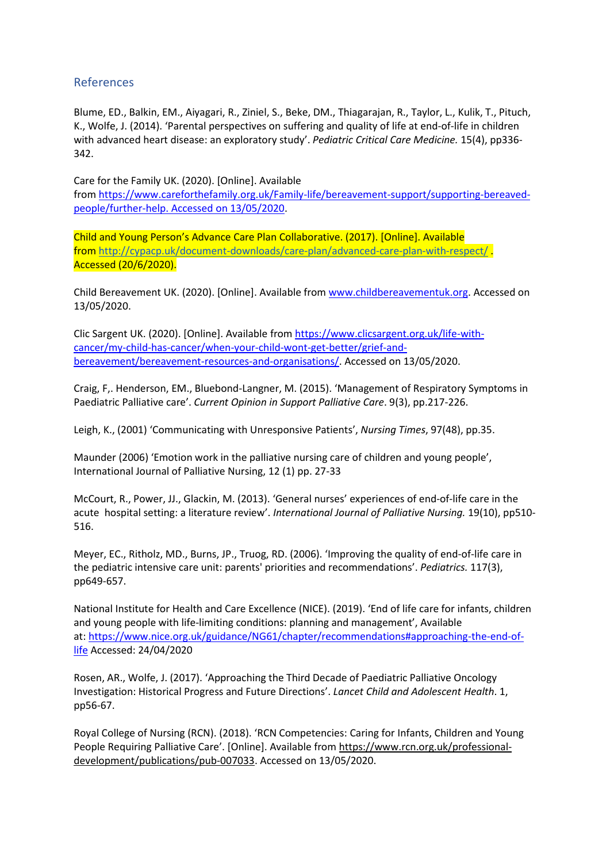# References

Blume, ED., Balkin, EM., Aiyagari, R., Ziniel, S., Beke, DM., Thiagarajan, R., Taylor, L., Kulik, T., Pituch, K., Wolfe, J. (2014). 'Parental perspectives on suffering and quality of life at end-of-life in children with advanced heart disease: an exploratory study'. *Pediatric Critical Care Medicine.* 15(4), pp336- 342.

Care for the Family UK. (2020). [Online]. Available from [https://www.careforthefamily.org.uk/Family-life/bereavement-support/supporting-bereaved](https://www.careforthefamily.org.uk/Family-life/bereavement-support/supporting-bereaved-people/further-help.%20Accessed%20on%2013/05/2020)[people/further-help.](https://www.careforthefamily.org.uk/Family-life/bereavement-support/supporting-bereaved-people/further-help.%20Accessed%20on%2013/05/2020) Accessed on 13/05/2020.

Child and Young Person's Advance Care Plan Collaborative. (2017). [Online]. Available from [http://cypacp.uk/document-downloads/care-plan/advanced-care-plan-with-respect/](https://eur02.safelinks.protection.outlook.com/?url=http%3A%2F%2Fcypacp.uk%2Fdocument-downloads%2Fcare-plan%2Fadvanced-care-plan-with-respect%2F&data=02%7C01%7C%7Ce248523af3c14c7e3f8308d81acf8d96%7C84df9e7fe9f640afb435aaaaaaaaaaaa%7C1%7C0%7C637288826018844176&sdata=qQ8oQsMEt40yRHWVVX4loJUAu%2BUiBU4rKLhZJ2gB6gU%3D&reserved=0) . Accessed (20/6/2020).

Child Bereavement UK. (2020). [Online]. Available from [www.childbereavementuk.org.](https://eur02.safelinks.protection.outlook.com/?url=http%3A%2F%2Fwww.childbereavementuk.org%2F&data=02%7C01%7C%7Ce248523af3c14c7e3f8308d81acf8d96%7C84df9e7fe9f640afb435aaaaaaaaaaaa%7C1%7C0%7C637288826018854179&sdata=03ZaJ67fb2%2Fz4FNR13%2FQXMJiwKwa6Hop6MPDaQwM5sE%3D&reserved=0) Accessed on 13/05/2020.

Clic Sargent UK. (2020). [Online]. Available from [https://www.clicsargent.org.uk/life-with](https://eur02.safelinks.protection.outlook.com/?url=https%3A%2F%2Fwww.clicsargent.org.uk%2Flife-with-cancer%2Fmy-child-has-cancer%2Fwhen-your-child-wont-get-better%2Fgrief-and-bereavement%2Fbereavement-resources-and-organisations%2F&data=02%7C01%7C%7Ce248523af3c14c7e3f8308d81acf8d96%7C84df9e7fe9f640afb435aaaaaaaaaaaa%7C1%7C0%7C637288826018864166&sdata=%2FxcE9MlgHykwoE98yFUSsXzKHopDblONx30%2Fmvm3RX0%3D&reserved=0)[cancer/my-child-has-cancer/when-your-child-wont-get-better/grief-and](https://eur02.safelinks.protection.outlook.com/?url=https%3A%2F%2Fwww.clicsargent.org.uk%2Flife-with-cancer%2Fmy-child-has-cancer%2Fwhen-your-child-wont-get-better%2Fgrief-and-bereavement%2Fbereavement-resources-and-organisations%2F&data=02%7C01%7C%7Ce248523af3c14c7e3f8308d81acf8d96%7C84df9e7fe9f640afb435aaaaaaaaaaaa%7C1%7C0%7C637288826018864166&sdata=%2FxcE9MlgHykwoE98yFUSsXzKHopDblONx30%2Fmvm3RX0%3D&reserved=0)[bereavement/bereavement-resources-and-organisations/.](https://eur02.safelinks.protection.outlook.com/?url=https%3A%2F%2Fwww.clicsargent.org.uk%2Flife-with-cancer%2Fmy-child-has-cancer%2Fwhen-your-child-wont-get-better%2Fgrief-and-bereavement%2Fbereavement-resources-and-organisations%2F&data=02%7C01%7C%7Ce248523af3c14c7e3f8308d81acf8d96%7C84df9e7fe9f640afb435aaaaaaaaaaaa%7C1%7C0%7C637288826018864166&sdata=%2FxcE9MlgHykwoE98yFUSsXzKHopDblONx30%2Fmvm3RX0%3D&reserved=0) Accessed on 13/05/2020.

Craig, F,. Henderson, EM., Bluebond-Langner, M. (2015). 'Management of Respiratory Symptoms in Paediatric Palliative care'. *Current Opinion in Support Palliative Care*. 9(3), pp.217-226.

Leigh, K., (2001) 'Communicating with Unresponsive Patients', *Nursing Times*, 97(48), pp.35.

Maunder (2006) 'Emotion work in the palliative nursing care of children and young people', International Journal of Palliative Nursing, 12 (1) pp. 27-33

McCourt, R., Power, JJ., Glackin, M. (2013). 'General nurses' experiences of end-of-life care in the acute hospital setting: a literature review'. *International Journal of Palliative Nursing.* 19(10), pp510- 516.

Meyer, EC., Ritholz, MD., Burns, JP., Truog, RD. (2006). 'Improving the quality of end-of-life care in the pediatric intensive care unit: parents' priorities and recommendations'. *Pediatrics.* 117(3), pp649-657.

National Institute for Health and Care Excellence (NICE). (2019). 'End of life care for infants, children and young people with life-limiting conditions: planning and management', Available at: [https://www.nice.org.uk/guidance/NG61/chapter/recommendations#approaching-the-end-of](https://eur02.safelinks.protection.outlook.com/?url=https%3A%2F%2Fwww.nice.org.uk%2Fguidance%2FNG61%2Fchapter%2Frecommendations%23approaching-the-end-of-life&data=02%7C01%7C%7Ce248523af3c14c7e3f8308d81acf8d96%7C84df9e7fe9f640afb435aaaaaaaaaaaa%7C1%7C0%7C637288826018874163&sdata=wVgF%2B0WGNl%2FIuWOLKDDh%2BfW8b9WpcXSTB7vhBqH9T4Y%3D&reserved=0)[life](https://eur02.safelinks.protection.outlook.com/?url=https%3A%2F%2Fwww.nice.org.uk%2Fguidance%2FNG61%2Fchapter%2Frecommendations%23approaching-the-end-of-life&data=02%7C01%7C%7Ce248523af3c14c7e3f8308d81acf8d96%7C84df9e7fe9f640afb435aaaaaaaaaaaa%7C1%7C0%7C637288826018874163&sdata=wVgF%2B0WGNl%2FIuWOLKDDh%2BfW8b9WpcXSTB7vhBqH9T4Y%3D&reserved=0) Accessed: 24/04/2020

Rosen, AR., Wolfe, J. (2017). 'Approaching the Third Decade of Paediatric Palliative Oncology Investigation: Historical Progress and Future Directions'. *Lancet Child and Adolescent Health*. 1, pp56-67.

Royal College of Nursing (RCN). (2018). 'RCN Competencies: Caring for Infants, Children and Young People Requiring Palliative Care'. [Online]. Available from [https://www.rcn.org.uk/professional](https://eur02.safelinks.protection.outlook.com/?url=https%3A%2F%2Fwww.rcn.org.uk%2Fprofessional-development%2Fpublications%2Fpub-007033&data=02%7C01%7C%7Ce248523af3c14c7e3f8308d81acf8d96%7C84df9e7fe9f640afb435aaaaaaaaaaaa%7C1%7C0%7C637288826018884164&sdata=jlCDiCJHOVRk3DSz%2BDLFWd4kQxAkTKZjB8ZxlpbSL7E%3D&reserved=0)[development/publications/pub-007033.](https://eur02.safelinks.protection.outlook.com/?url=https%3A%2F%2Fwww.rcn.org.uk%2Fprofessional-development%2Fpublications%2Fpub-007033&data=02%7C01%7C%7Ce248523af3c14c7e3f8308d81acf8d96%7C84df9e7fe9f640afb435aaaaaaaaaaaa%7C1%7C0%7C637288826018884164&sdata=jlCDiCJHOVRk3DSz%2BDLFWd4kQxAkTKZjB8ZxlpbSL7E%3D&reserved=0) Accessed on 13/05/2020.